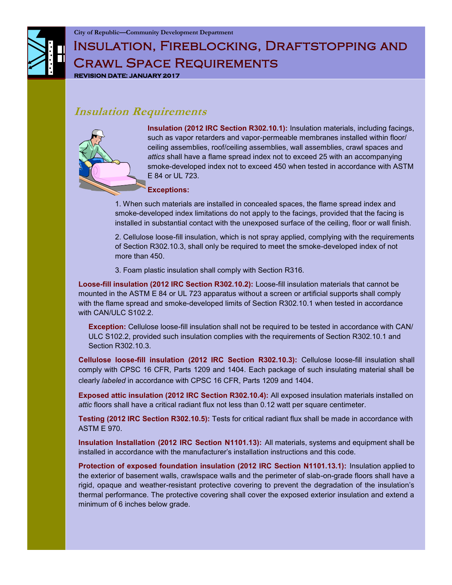# INSULATION, FIREBLOCKING, DRAFTSTOPPING AND Crawl Space Requirements **REVISION DATE: JANUARY 2017**

### **Insulation Requirements**



**Insulation (2012 IRC Section R302.10.1):** Insulation materials, including facings, such as vapor retarders and vapor-permeable membranes installed within floor/ ceiling assemblies, roof/ceiling assemblies, wall assemblies, crawl spaces and *attics* shall have a flame spread index not to exceed 25 with an accompanying smoke-developed index not to exceed 450 when tested in accordance with ASTM E 84 or UL 723.

#### **Exceptions:**

1. When such materials are installed in concealed spaces, the flame spread index and smoke-developed index limitations do not apply to the facings, provided that the facing is installed in substantial contact with the unexposed surface of the ceiling, floor or wall finish.

2. Cellulose loose-fill insulation, which is not spray applied, complying with the requirements of Section R302.10.3, shall only be required to meet the smoke-developed index of not more than 450.

3. Foam plastic insulation shall comply with Section R316.

**Loose-fill insulation (2012 IRC Section R302.10.2):** Loose-fill insulation materials that cannot be mounted in the ASTM E 84 or UL 723 apparatus without a screen or artificial supports shall comply with the flame spread and smoke-developed limits of Section R302.10.1 when tested in accordance with CAN/ULC S102.2.

**Exception:** Cellulose loose-fill insulation shall not be required to be tested in accordance with CAN/ ULC S102.2, provided such insulation complies with the requirements of Section R302.10.1 and Section R302.10.3.

**Cellulose loose-fill insulation (2012 IRC Section R302.10.3):** Cellulose loose-fill insulation shall comply with CPSC 16 CFR, Parts 1209 and 1404. Each package of such insulating material shall be clearly *labeled* in accordance with CPSC 16 CFR, Parts 1209 and 1404.

**Exposed attic insulation (2012 IRC Section R302.10.4):** All exposed insulation materials installed on *attic* floors shall have a critical radiant flux not less than 0.12 watt per square centimeter.

**Testing (2012 IRC Section R302.10.5):** Tests for critical radiant flux shall be made in accordance with ASTM E 970.

**Insulation Installation (2012 IRC Section N1101.13):** All materials, systems and equipment shall be installed in accordance with the manufacturer's installation instructions and this code.

**Protection of exposed foundation insulation (2012 IRC Section N1101.13.1):** Insulation applied to the exterior of basement walls, crawlspace walls and the perimeter of slab-on-grade floors shall have a rigid, opaque and weather-resistant protective covering to prevent the degradation of the insulation's thermal performance. The protective covering shall cover the exposed exterior insulation and extend a minimum of 6 inches below grade.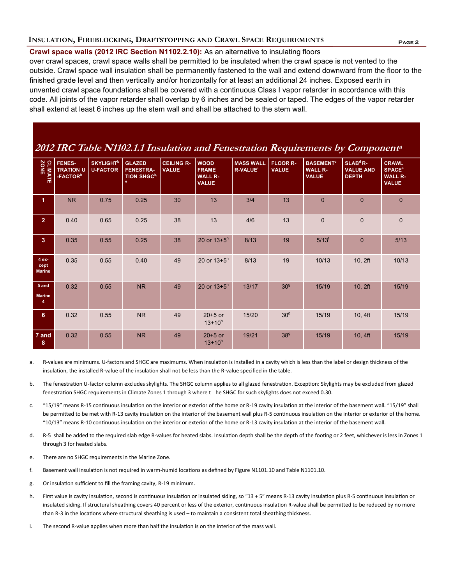### **Page 2 INSULATION, FIREBLOCKING, DRAFTSTOPPING AND CRAWL SPACE REQUIREMENTS**

### **Crawl space walls (2012 IRC Section N1102.2.10):** As an alternative to insulating floors

over crawl spaces, crawl space walls shall be permitted to be insulated when the crawl space is not vented to the outside. Crawl space wall insulation shall be permanently fastened to the wall and extend downward from the floor to the finished grade level and then vertically and/or horizontally for at least an additional 24 inches. Exposed earth in unvented crawl space foundations shall be covered with a continuous Class I vapor retarder in accordance with this code. All joints of the vapor retarder shall overlap by 6 inches and be sealed or taped. The edges of the vapor retarder shall extend at least 6 inches up the stem wall and shall be attached to the stem wall.

### **2012 IRC Table N1102.1.1 Insulation and Fenestration Requirements by Component a**

| CLIMATE<br>ZONE                | <b>FENES-</b><br><b>TRATION U</b><br>-FACTOR <sup>b</sup> | <b>SKYLIGHT</b> <sup>b</sup><br><b>U-FACTOR</b> | <b>GLAZED</b><br><b>FENESTRA-</b><br><b>TION SHGC<sup>b,</sup></b><br>e | <b>CEILING R-</b><br><b>VALUE</b> | <b>WOOD</b><br><b>FRAME</b><br><b>WALL R-</b><br><b>VALUE</b> | <b>MASS WALL</b><br>R-VALUE <sup>i</sup> | <b>FLOOR R-</b><br><b>VALUE</b> | <b>BASEMENT<sup>c</sup></b><br><b>WALL R-</b><br><b>VALUE</b> | $SLABd$ R-<br><b>VALUE AND</b><br><b>DEPTH</b> | <b>CRAWL</b><br><b>SPACE<sup>c</sup></b><br><b>WALL R-</b><br><b>VALUE</b> |
|--------------------------------|-----------------------------------------------------------|-------------------------------------------------|-------------------------------------------------------------------------|-----------------------------------|---------------------------------------------------------------|------------------------------------------|---------------------------------|---------------------------------------------------------------|------------------------------------------------|----------------------------------------------------------------------------|
| $\blacktriangleleft$           | <b>NR</b>                                                 | 0.75                                            | 0.25                                                                    | 30                                | 13                                                            | 3/4                                      | 13                              | $\overline{0}$                                                | $\overline{0}$                                 | $\Omega$                                                                   |
| 2 <sup>1</sup>                 | 0.40                                                      | 0.65                                            | 0.25                                                                    | 38                                | 13                                                            | 4/6                                      | 13                              | $\overline{0}$                                                | $\overline{0}$                                 | $\overline{0}$                                                             |
| 3 <sup>2</sup>                 | 0.35                                                      | 0.55                                            | 0.25                                                                    | 38                                | 20 or $13+5^h$                                                | 8/13                                     | 19                              | $5/13^{f}$                                                    | $\mathbf{0}$                                   | 5/13                                                                       |
| 4 ex-<br>cept<br><b>Marine</b> | 0.35                                                      | 0.55                                            | 0.40                                                                    | 49                                | 20 or $13+5^h$                                                | 8/13                                     | 19                              | 10/13                                                         | 10, 2ft                                        | 10/13                                                                      |
| 5 and<br><b>Marine</b><br>4    | 0.32                                                      | 0.55                                            | <b>NR</b>                                                               | 49                                | 20 or $13+5^h$                                                | 13/17                                    | 30 <sup>g</sup>                 | 15/19                                                         | 10, 2ft                                        | 15/19                                                                      |
| 6 <sup>1</sup>                 | 0.32                                                      | 0.55                                            | <b>NR</b>                                                               | 49                                | $20+5$ or<br>$13+10^{h}$                                      | 15/20                                    | 30 <sup>g</sup>                 | 15/19                                                         | 10, 4ft                                        | 15/19                                                                      |
| 7 and<br>$8\phantom{1}$        | 0.32                                                      | 0.55                                            | <b>NR</b>                                                               | 49                                | $20+5$ or<br>$13+10^{h}$                                      | 19/21                                    | 38 <sup>g</sup>                 | 15/19                                                         | 10, 4ft                                        | 15/19                                                                      |

- a. R-values are minimums. U-factors and SHGC are maximums. When insulation is installed in a cavity which is less than the label or design thickness of the insulation, the installed R-value of the insulation shall not be less than the R-value specified in the table.
- b. The fenestration U-factor column excludes skylights. The SHGC column applies to all glazed fenestration. Exception: Skylights may be excluded from glazed fenestration SHGC requirements in Climate Zones 1 through 3 where t he SHGC for such skylights does not exceed 0.30.
- c. "15/19" means R-15 continuous insulation on the interior or exterior of the home or R-19 cavity insulation at the interior of the basement wall. "15/19" shall be permitted to be met with R-13 cavity insulation on the interior of the basement wall plus R-5 continuous insulation on the interior or exterior of the home. "10/13" means R-10 continuous insulation on the interior or exterior of the home or R-13 cavity insulation at the interior of the basement wall.
- d. R-5 shall be added to the required slab edge R-values for heated slabs. Insulation depth shall be the depth of the footing or 2 feet, whichever is less in Zones 1 through 3 for heated slabs.
- e. There are no SHGC requirements in the Marine Zone.
- f. Basement wall insulation is not required in warm-humid locations as defined by Figure N1101.10 and Table N1101.10.
- g. Or insulation sufficient to fill the framing cavity, R-19 minimum.
- h. First value is cavity insulation, second is continuous insulation or insulated siding, so "13 + 5" means R-13 cavity insulation plus R-5 continuous insulation or insulated siding. If structural sheathing covers 40 percent or less of the exterior, continuous insulation R-value shall be permitted to be reduced by no more than R-3 in the locations where structural sheathing is used – to maintain a consistent total sheathing thickness.
- i. The second R-value applies when more than half the insulation is on the interior of the mass wall.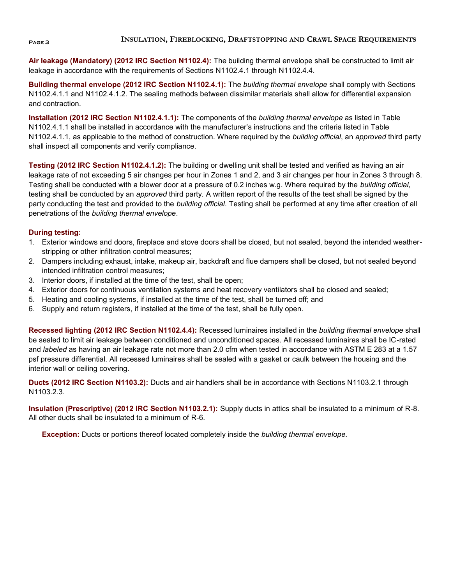**Air leakage (Mandatory) (2012 IRC Section N1102.4):** The building thermal envelope shall be constructed to limit air leakage in accordance with the requirements of Sections N1102.4.1 through N1102.4.4.

**Building thermal envelope (2012 IRC Section N1102.4.1):** The *building thermal envelope* shall comply with Sections N1102.4.1.1 and N1102.4.1.2. The sealing methods between dissimilar materials shall allow for differential expansion and contraction.

**Installation (2012 IRC Section N1102.4.1.1):** The components of the *building thermal envelope* as listed in Table N1102.4.1.1 shall be installed in accordance with the manufacturer's instructions and the criteria listed in Table N1102.4.1.1, as applicable to the method of construction. Where required by the *building official*, an *approved* third party shall inspect all components and verify compliance.

**Testing (2012 IRC Section N1102.4.1.2):** The building or dwelling unit shall be tested and verified as having an air leakage rate of not exceeding 5 air changes per hour in Zones 1 and 2, and 3 air changes per hour in Zones 3 through 8. Testing shall be conducted with a blower door at a pressure of 0.2 inches w.g. Where required by the *building official*, testing shall be conducted by an *approved* third party. A written report of the results of the test shall be signed by the party conducting the test and provided to the *building official*. Testing shall be performed at any time after creation of all penetrations of the *building thermal envelope*.

#### **During testing:**

- 1. Exterior windows and doors, fireplace and stove doors shall be closed, but not sealed, beyond the intended weatherstripping or other infiltration control measures;
- 2. Dampers including exhaust, intake, makeup air, backdraft and flue dampers shall be closed, but not sealed beyond intended infiltration control measures;
- 3. Interior doors, if installed at the time of the test, shall be open;
- 4. Exterior doors for continuous ventilation systems and heat recovery ventilators shall be closed and sealed;
- 5. Heating and cooling systems, if installed at the time of the test, shall be turned off; and
- 6. Supply and return registers, if installed at the time of the test, shall be fully open.

**Recessed lighting (2012 IRC Section N1102.4.4):** Recessed luminaires installed in the *building thermal envelope* shall be sealed to limit air leakage between conditioned and unconditioned spaces. All recessed luminaires shall be IC-rated and *labeled* as having an air leakage rate not more than 2.0 cfm when tested in accordance with ASTM E 283 at a 1.57 psf pressure differential. All recessed luminaires shall be sealed with a gasket or caulk between the housing and the interior wall or ceiling covering.

**Ducts (2012 IRC Section N1103.2):** Ducts and air handlers shall be in accordance with Sections N1103.2.1 through N1103.2.3.

**Insulation (Prescriptive) (2012 IRC Section N1103.2.1):** Supply ducts in attics shall be insulated to a minimum of R-8. All other ducts shall be insulated to a minimum of R-6.

**Exception:** Ducts or portions thereof located completely inside the *building thermal envelope.*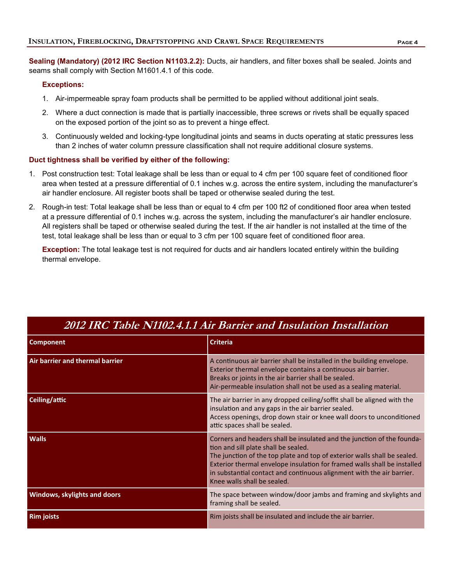**Sealing (Mandatory) (2012 IRC Section N1103.2.2):** Ducts, air handlers, and filter boxes shall be sealed. Joints and seams shall comply with Section M1601.4.1 of this code.

#### **Exceptions:**

- 1. Air-impermeable spray foam products shall be permitted to be applied without additional joint seals.
- 2. Where a duct connection is made that is partially inaccessible, three screws or rivets shall be equally spaced on the exposed portion of the joint so as to prevent a hinge effect.
- 3. Continuously welded and locking-type longitudinal joints and seams in ducts operating at static pressures less than 2 inches of water column pressure classification shall not require additional closure systems.

#### **Duct tightness shall be verified by either of the following:**

- 1. Post construction test: Total leakage shall be less than or equal to 4 cfm per 100 square feet of conditioned floor area when tested at a pressure differential of 0.1 inches w.g. across the entire system, including the manufacturer's air handler enclosure. All register boots shall be taped or otherwise sealed during the test.
- 2. Rough-in test: Total leakage shall be less than or equal to 4 cfm per 100 ft2 of conditioned floor area when tested at a pressure differential of 0.1 inches w.g. across the system, including the manufacturer's air handler enclosure. All registers shall be taped or otherwise sealed during the test. If the air handler is not installed at the time of the test, total leakage shall be less than or equal to 3 cfm per 100 square feet of conditioned floor area.

**Exception:** The total leakage test is not required for ducts and air handlers located entirely within the building thermal envelope.

| <b>Component</b>                | <b>Criteria</b>                                                                                                                                                                                                                                                                                                                                                                |  |  |  |
|---------------------------------|--------------------------------------------------------------------------------------------------------------------------------------------------------------------------------------------------------------------------------------------------------------------------------------------------------------------------------------------------------------------------------|--|--|--|
| Air barrier and thermal barrier | A continuous air barrier shall be installed in the building envelope.<br>Exterior thermal envelope contains a continuous air barrier.<br>Breaks or joints in the air barrier shall be sealed.<br>Air-permeable insulation shall not be used as a sealing material.                                                                                                             |  |  |  |
| Ceiling/attic                   | The air barrier in any dropped ceiling/soffit shall be aligned with the<br>insulation and any gaps in the air barrier sealed.<br>Access openings, drop down stair or knee wall doors to unconditioned<br>attic spaces shall be sealed.                                                                                                                                         |  |  |  |
| <b>Walls</b>                    | Corners and headers shall be insulated and the junction of the founda-<br>tion and sill plate shall be sealed.<br>The junction of the top plate and top of exterior walls shall be sealed.<br>Exterior thermal envelope insulation for framed walls shall be installed<br>in substantial contact and continuous alignment with the air barrier.<br>Knee walls shall be sealed. |  |  |  |
| Windows, skylights and doors    | The space between window/door jambs and framing and skylights and<br>framing shall be sealed.                                                                                                                                                                                                                                                                                  |  |  |  |
| <b>Rim joists</b>               | Rim joists shall be insulated and include the air barrier.                                                                                                                                                                                                                                                                                                                     |  |  |  |

### **2012 IRC Table N1102.4.1.1 Air Barrier and Insulation Installation**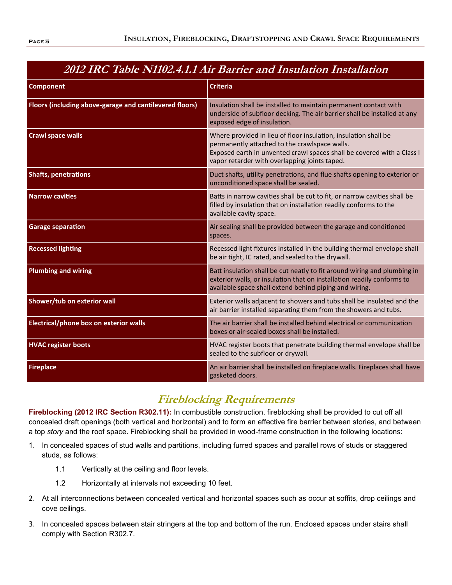# **2012 IRC Table N1102.4.1.1 Air Barrier and Insulation Installation**

| <b>Component</b>                                        | <b>Criteria</b>                                                                                                                                                                                                                             |  |  |  |  |
|---------------------------------------------------------|---------------------------------------------------------------------------------------------------------------------------------------------------------------------------------------------------------------------------------------------|--|--|--|--|
|                                                         |                                                                                                                                                                                                                                             |  |  |  |  |
| Floors (including above-garage and cantilevered floors) | Insulation shall be installed to maintain permanent contact with<br>underside of subfloor decking. The air barrier shall be installed at any<br>exposed edge of insulation.                                                                 |  |  |  |  |
| <b>Crawl space walls</b>                                | Where provided in lieu of floor insulation, insulation shall be<br>permanently attached to the crawlspace walls.<br>Exposed earth in unvented crawl spaces shall be covered with a Class I<br>vapor retarder with overlapping joints taped. |  |  |  |  |
| <b>Shafts, penetrations</b>                             | Duct shafts, utility penetrations, and flue shafts opening to exterior or<br>unconditioned space shall be sealed.                                                                                                                           |  |  |  |  |
| <b>Narrow cavities</b>                                  | Batts in narrow cavities shall be cut to fit, or narrow cavities shall be<br>filled by insulation that on installation readily conforms to the<br>available cavity space.                                                                   |  |  |  |  |
| <b>Garage separation</b>                                | Air sealing shall be provided between the garage and conditioned<br>spaces.                                                                                                                                                                 |  |  |  |  |
| <b>Recessed lighting</b>                                | Recessed light fixtures installed in the building thermal envelope shall<br>be air tight, IC rated, and sealed to the drywall.                                                                                                              |  |  |  |  |
| <b>Plumbing and wiring</b>                              | Batt insulation shall be cut neatly to fit around wiring and plumbing in<br>exterior walls, or insulation that on installation readily conforms to<br>available space shall extend behind piping and wiring.                                |  |  |  |  |
| Shower/tub on exterior wall                             | Exterior walls adjacent to showers and tubs shall be insulated and the<br>air barrier installed separating them from the showers and tubs.                                                                                                  |  |  |  |  |
| Electrical/phone box on exterior walls                  | The air barrier shall be installed behind electrical or communication<br>boxes or air-sealed boxes shall be installed.                                                                                                                      |  |  |  |  |
| <b>HVAC register boots</b>                              | HVAC register boots that penetrate building thermal envelope shall be<br>sealed to the subfloor or drywall.                                                                                                                                 |  |  |  |  |
| <b>Fireplace</b>                                        | An air barrier shall be installed on fireplace walls. Fireplaces shall have<br>gasketed doors.                                                                                                                                              |  |  |  |  |

# **Fireblocking Requirements**

**Fireblocking (2012 IRC Section R302.11):** In combustible construction, fireblocking shall be provided to cut off all concealed draft openings (both vertical and horizontal) and to form an effective fire barrier between stories, and between a top *story* and the roof space. Fireblocking shall be provided in wood-frame construction in the following locations:

- 1. In concealed spaces of stud walls and partitions, including furred spaces and parallel rows of studs or staggered studs, as follows:
	- 1.1 Vertically at the ceiling and floor levels.
	- 1.2 Horizontally at intervals not exceeding 10 feet.
- 2. At all interconnections between concealed vertical and horizontal spaces such as occur at soffits, drop ceilings and cove ceilings.
- 3. In concealed spaces between stair stringers at the top and bottom of the run. Enclosed spaces under stairs shall comply with Section R302.7.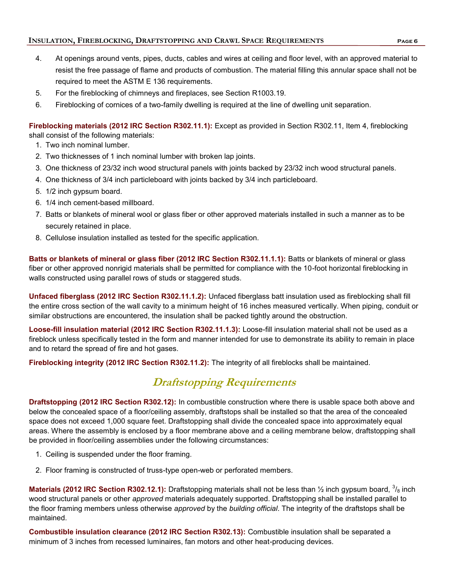- 
- 4. At openings around vents, pipes, ducts, cables and wires at ceiling and floor level, with an approved material to resist the free passage of flame and products of combustion. The material filling this annular space shall not be required to meet the ASTM E 136 requirements.
- 5. For the fireblocking of chimneys and fireplaces, see Section R1003.19.
- 6. Fireblocking of cornices of a two-family dwelling is required at the line of dwelling unit separation.

**Fireblocking materials (2012 IRC Section R302.11.1):** Except as provided in Section R302.11, Item 4, fireblocking shall consist of the following materials:

- 1. Two inch nominal lumber.
- 2. Two thicknesses of 1 inch nominal lumber with broken lap joints.
- 3. One thickness of 23/32 inch wood structural panels with joints backed by 23/32 inch wood structural panels.
- 4. One thickness of 3/4 inch particleboard with joints backed by 3/4 inch particleboard.
- 5. 1/2 inch gypsum board.
- 6. 1/4 inch cement-based millboard.
- 7. Batts or blankets of mineral wool or glass fiber or other approved materials installed in such a manner as to be securely retained in place.
- 8. Cellulose insulation installed as tested for the specific application.

**Batts or blankets of mineral or glass fiber (2012 IRC Section R302.11.1.1):** Batts or blankets of mineral or glass fiber or other approved nonrigid materials shall be permitted for compliance with the 10-foot horizontal fireblocking in walls constructed using parallel rows of studs or staggered studs.

**Unfaced fiberglass (2012 IRC Section R302.11.1.2):** Unfaced fiberglass batt insulation used as fireblocking shall fill the entire cross section of the wall cavity to a minimum height of 16 inches measured vertically. When piping, conduit or similar obstructions are encountered, the insulation shall be packed tightly around the obstruction.

**Loose-fill insulation material (2012 IRC Section R302.11.1.3):** Loose-fill insulation material shall not be used as a fireblock unless specifically tested in the form and manner intended for use to demonstrate its ability to remain in place and to retard the spread of fire and hot gases.

**Fireblocking integrity (2012 IRC Section R302.11.2):** The integrity of all fireblocks shall be maintained.

## **Draftstopping Requirements**

**Draftstopping (2012 IRC Section R302.12):** In combustible construction where there is usable space both above and below the concealed space of a floor/ceiling assembly, draftstops shall be installed so that the area of the concealed space does not exceed 1,000 square feet. Draftstopping shall divide the concealed space into approximately equal areas. Where the assembly is enclosed by a floor membrane above and a ceiling membrane below, draftstopping shall be provided in floor/ceiling assemblies under the following circumstances:

- 1. Ceiling is suspended under the floor framing.
- 2. Floor framing is constructed of truss-type open-web or perforated members.

**Materials (2012 IRC Section R302.12.1):** Draftstopping materials shall not be less than ½ inch gypsum board, 3/<sub>8</sub> inch wood structural panels or other *approved* materials adequately supported. Draftstopping shall be installed parallel to the floor framing members unless otherwise *approved* by the *building official*. The integrity of the draftstops shall be maintained.

**Combustible insulation clearance (2012 IRC Section R302.13):** Combustible insulation shall be separated a minimum of 3 inches from recessed luminaires, fan motors and other heat-producing devices.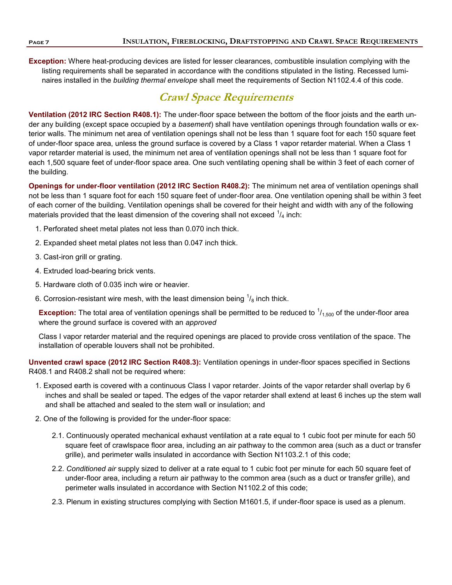**Exception:** Where heat-producing devices are listed for lesser clearances, combustible insulation complying with the listing requirements shall be separated in accordance with the conditions stipulated in the listing. Recessed luminaires installed in the *building thermal envelope* shall meet the requirements of Section N1102.4.4 of this code.

## **Crawl Space Requirements**

**Ventilation (2012 IRC Section R408.1):** The under-floor space between the bottom of the floor joists and the earth under any building (except space occupied by a *basement*) shall have ventilation openings through foundation walls or exterior walls. The minimum net area of ventilation openings shall not be less than 1 square foot for each 150 square feet of under-floor space area, unless the ground surface is covered by a Class 1 vapor retarder material. When a Class 1 vapor retarder material is used, the minimum net area of ventilation openings shall not be less than 1 square foot for each 1,500 square feet of under-floor space area. One such ventilating opening shall be within 3 feet of each corner of the building.

**Openings for under-floor ventilation (2012 IRC Section R408.2):** The minimum net area of ventilation openings shall not be less than 1 square foot for each 150 square feet of under-floor area. One ventilation opening shall be within 3 feet of each corner of the building. Ventilation openings shall be covered for their height and width with any of the following materials provided that the least dimension of the covering shall not exceed  $^1\!/_4$  inch:

- 1. Perforated sheet metal plates not less than 0.070 inch thick.
- 2. Expanded sheet metal plates not less than 0.047 inch thick.
- 3. Cast-iron grill or grating.
- 4. Extruded load-bearing brick vents.
- 5. Hardware cloth of 0.035 inch wire or heavier.
- 6. Corrosion-resistant wire mesh, with the least dimension being  $\frac{1}{8}$  inch thick.

**Exception:** The total area of ventilation openings shall be permitted to be reduced to  $1/1,500$  of the under-floor area where the ground surface is covered with an *approved*

Class I vapor retarder material and the required openings are placed to provide cross ventilation of the space. The installation of operable louvers shall not be prohibited.

**Unvented crawl space (2012 IRC Section R408.3):** Ventilation openings in under-floor spaces specified in Sections R408.1 and R408.2 shall not be required where:

- 1. Exposed earth is covered with a continuous Class I vapor retarder. Joints of the vapor retarder shall overlap by 6 inches and shall be sealed or taped. The edges of the vapor retarder shall extend at least 6 inches up the stem wall and shall be attached and sealed to the stem wall or insulation; and
- 2. One of the following is provided for the under-floor space:
	- 2.1. Continuously operated mechanical exhaust ventilation at a rate equal to 1 cubic foot per minute for each 50 square feet of crawlspace floor area, including an air pathway to the common area (such as a duct or transfer grille), and perimeter walls insulated in accordance with Section N1103.2.1 of this code;
	- 2.2. *Conditioned air* supply sized to deliver at a rate equal to 1 cubic foot per minute for each 50 square feet of under-floor area, including a return air pathway to the common area (such as a duct or transfer grille), and perimeter walls insulated in accordance with Section N1102.2 of this code;
	- 2.3. Plenum in existing structures complying with Section M1601.5, if under-floor space is used as a plenum.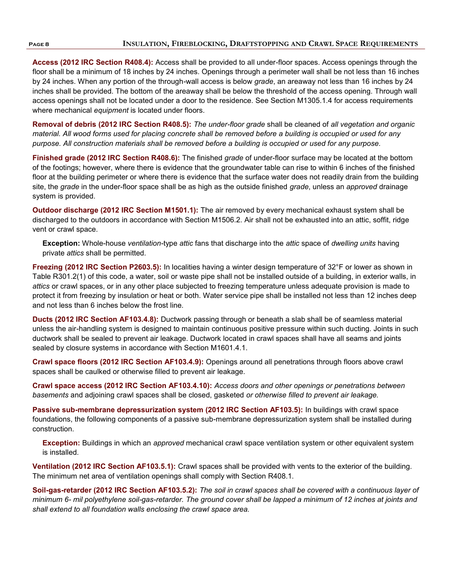**Access (2012 IRC Section R408.4):** Access shall be provided to all under-floor spaces. Access openings through the floor shall be a minimum of 18 inches by 24 inches. Openings through a perimeter wall shall be not less than 16 inches by 24 inches. When any portion of the through-wall access is below *grade*, an areaway not less than 16 inches by 24 inches shall be provided. The bottom of the areaway shall be below the threshold of the access opening. Through wall access openings shall not be located under a door to the residence. See Section M1305.1.4 for access requirements where mechanical *equipment* is located under floors.

**Removal of debris (2012 IRC Section R408.5):** *The under-floor grade* shall be cleaned of *all vegetation and organic material. All wood forms used for placing concrete shall be removed before a building is occupied or used for any purpose. All construction materials shall be removed before a building is occupied or used for any purpose.*

**Finished grade (2012 IRC Section R408.6):** The finished *grade* of under-floor surface may be located at the bottom of the footings; however, where there is evidence that the groundwater table can rise to within 6 inches of the finished floor at the building perimeter or where there is evidence that the surface water does not readily drain from the building site, the *grade* in the under-floor space shall be as high as the outside finished *grade*, unless an *approved* drainage system is provided.

**Outdoor discharge (2012 IRC Section M1501.1):** The air removed by every mechanical exhaust system shall be discharged to the outdoors in accordance with Section M1506.2. Air shall not be exhausted into an attic, soffit, ridge vent or crawl space.

**Exception:** Whole-house *ventilation*-type *attic* fans that discharge into the *attic* space of *dwelling units* having private *attics* shall be permitted.

**Freezing (2012 IRC Section P2603.5):** In localities having a winter design temperature of 32°F or lower as shown in Table R301.2(1) of this code, a water, soil or waste pipe shall not be installed outside of a building, in exterior walls, in *attics* or crawl spaces, or in any other place subjected to freezing temperature unless adequate provision is made to protect it from freezing by insulation or heat or both. Water service pipe shall be installed not less than 12 inches deep and not less than 6 inches below the frost line.

**Ducts (2012 IRC Section AF103.4.8):** Ductwork passing through or beneath a slab shall be of seamless material unless the air-handling system is designed to maintain continuous positive pressure within such ducting. Joints in such ductwork shall be sealed to prevent air leakage. Ductwork located in crawl spaces shall have all seams and joints sealed by closure systems in accordance with Section M1601.4.1.

**Crawl space floors (2012 IRC Section AF103.4.9):** Openings around all penetrations through floors above crawl spaces shall be caulked or otherwise filled to prevent air leakage.

**Crawl space access (2012 IRC Section AF103.4.10):** *Access doors and other openings or penetrations between basements* and adjoining crawl spaces shall be closed, gasketed *or otherwise filled to prevent air leakage.*

**Passive sub-membrane depressurization system (2012 IRC Section AF103.5):** In buildings with crawl space foundations, the following components of a passive sub-membrane depressurization system shall be installed during construction.

**Exception:** Buildings in which an *approved* mechanical crawl space ventilation system or other equivalent system is installed.

**Ventilation (2012 IRC Section AF103.5.1):** Crawl spaces shall be provided with vents to the exterior of the building. The minimum net area of ventilation openings shall comply with Section R408.1.

**Soil-gas-retarder (2012 IRC Section AF103.5.2):** *The soil in crawl spaces shall be covered with a continuous layer of minimum 6- mil polyethylene soil-gas-retarder. The ground cover shall be lapped a minimum of 12 inches at joints and shall extend to all foundation walls enclosing the crawl space area.*